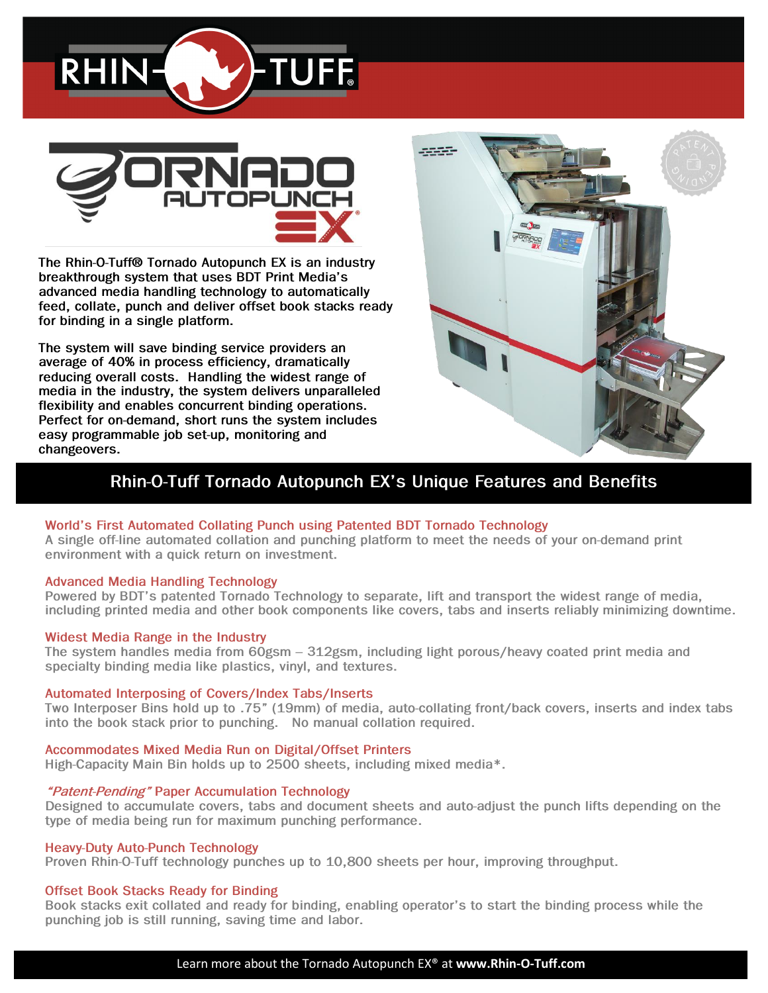



*The Rhin-O-Tuff® Tornado Autopunch EX is an industry breakthrough system that uses BDT Print Media's advanced media handling technology to automatically feed, collate, punch and deliver offset book stacks ready for binding in a single platform.* 

*The system will save binding service providers an average of 40% in process efficiency, dramatically reducing overall costs. Handling the widest range of media in the industry, the system delivers unparalleled flexibility and enables concurrent binding operations. Perfect for on-demand, short runs the system includes easy programmable job set-up, monitoring and changeovers.*



### *Rhin-O-Tuff Tornado Autopunch EX's Unique Features and Benefits*

### *World's First Automated Collating Punch using Patented BDT Tornado Technology*

*A single off-line automated collation and punching platform to meet the needs of your on-demand print environment with a quick return on investment.*

#### *Advanced Media Handling Technology*

*Powered by BDT's patented Tornado Technology to separate, lift and transport the widest range of media, including printed media and other book components like covers, tabs and inserts reliably minimizing downtime.*

#### *Widest Media Range in the Industry*

*The system handles media from 60gsm – 312gsm, including light porous/heavy coated print media and specialty binding media like plastics, vinyl, and textures.*

#### *Automated Interposing of Covers/Index Tabs/Inserts*

*Two Interposer Bins hold up to .75" (19mm) of media, auto-collating front/back covers, inserts and index tabs into the book stack prior to punching. No manual collation required.*

#### *Accommodates Mixed Media Run on Digital/Offset Printers*

*High-Capacity Main Bin holds up to 2500 sheets, including mixed media\*.* 

#### *"Patent-Pending" Paper Accumulation Technology*

*Designed to accumulate covers, tabs and document sheets and auto-adjust the punch lifts depending on the type of media being run for maximum punching performance.*

#### *Heavy-Duty Auto-Punch Technology*

*Proven Rhin-O-Tuff technology punches up to 10,800 sheets per hour, improving throughput.*

### *Offset Book Stacks Ready for Binding*

*Book stacks exit collated and ready for binding, enabling operator's to start the binding process while the punching job is still running, saving time and labor.*